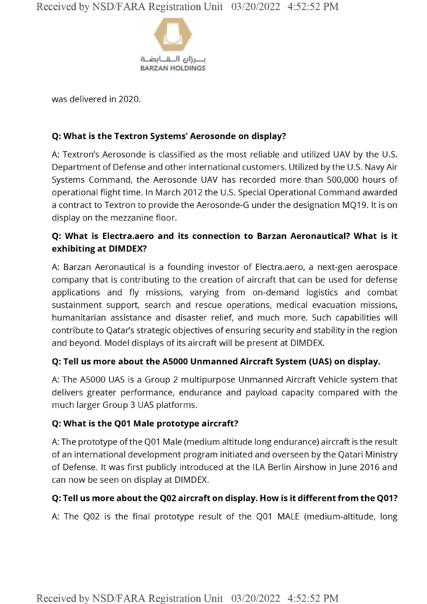

was delivered in 2020.

### **Q: What is the Textron Systems' Aerosonde on display?**

A: Textron's Aerosonde is classified as the most reliable and utilized UAV by the U.S. Department of Defense and other international customers. Utilized by the U.S. Navy Air Systems Command, the Aerosonde UAV has recorded more than 500,000 hours of operational flight time. In March 2012 the U.S. Special Operational Command awarded a contract to Textron to provide the Aerosonde-G under the designation MQ19. It is on display on the mezzanine floor.

## **Q: What is Electra.aero and its connection to Barzan Aeronautical? What is it exhibiting at DIMDEX?**

A: Barzan Aeronautical is a founding investor of Electra.aero, a next-gen aerospace company that is contributing to the creation of aircraft that can be used for defense applications and fly missions, varying from on-demand logistics and combat sustainment support, search and rescue operations, medical evacuation missions, humanitarian assistance and disaster relief, and much more. Such capabilities will contribute to Qatar's strategic objectives of ensuring security and stability in the region and beyond. Model displays of its aircraft will be present at DIMDEX.

# **Q: Tell us more about the A5000 Unmanned Aircraft System (UAS) on display.**

A: The A5000 UAS is a Group 2 multipurpose Unmanned Aircraft Vehicle system that delivers greater performance, endurance and payload capacity compared with the much larger Group 3 UAS platforms.

#### **Q: What is the Q01 Male prototype aircraft?**

A: The prototype of the Q01 Male (medium altitude long endurance) aircraft is the result of an international development program initiated and overseen by the Qatari Ministry of Defense. It was first publicly introduced at the ILA Berlin Airshow in June 2016 and can now be seen on display at DIMDEX.

#### **Q: Tell us more about the Q02 aircraft on display. How is it different from the Q01?**

A: The Q02 is the final prototype result of the Q01 MALE (medium-altitude, long